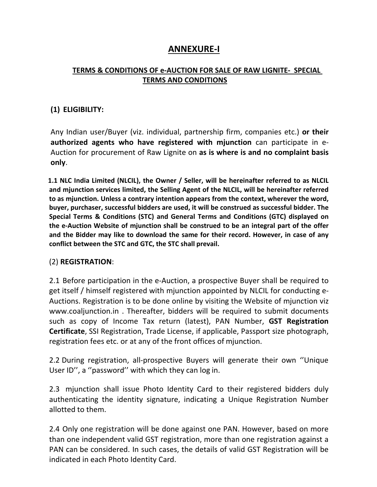# **ANNEXURE-I**

## **TERMS & CONDITIONS OF e-AUCTION FOR SALE OF RAW LIGNITE- SPECIAL TERMS AND CONDITIONS**

## **(1) ELIGIBILITY:**

Any Indian user/Buyer (viz. individual, partnership firm, companies etc.) **or their authorized agents who have registered with mjunction** can participate in e- Auction for procurement of Raw Lignite on **as is where is and no complaint basis only**.

**1.1 NLC India Limited (NLCIL), the Owner / Seller, will be hereinafter referred to as NLCIL and mjunction services limited, the Selling Agent of the NLCIL, will be hereinafter referred to as mjunction. Unless a contrary intention appears from the context, wherever the word, buyer, purchaser, successful bidders are used, it will be construed as successfulbidder. The Special Terms & Conditions (STC) and General Terms and Conditions (GTC) displayed on the e-Auction Website of mjunction shall be construed to be an integral part of the offer and the Bidder may like to download the same for their record. However, in case of any conflict between the STC and GTC, the STC shall prevail.**

#### (2) **REGISTRATION**:

2.1 Before participation in the e-Auction, a prospective Buyer shall be required to get itself / himself registered with mjunction appointed by NLCIL for conducting e- Auctions. Registration is to be done online by visiting the Website of mjunction viz [www.coaljunction.in](http://www.coaljunction.in/) . Thereafter, bidders will be required to submit documents such as copy of Income Tax return (latest), PAN Number, **GST Registration Certificate**, SSI Registration, Trade License, if applicable, Passport size photograph, registration fees etc. or at any of the front offices of mjunction.

2.2 During registration, all-prospective Buyers will generate their own ''Unique User ID", a "password" with which they can log in.

2.3 mjunction shall issue Photo Identity Card to their registered bidders duly authenticating the identity signature, indicating a Unique Registration Number allotted to them.

2.4 Only one registration will be done against one PAN. However, based on more than one independent valid GST registration, more than one registration against a PAN can be considered. In such cases, the details of valid GST Registration will be indicated in each Photo Identity Card.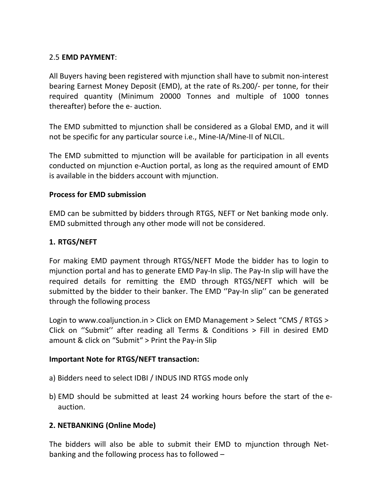## 2.5 **EMD PAYMENT**:

All Buyers having been registered with mjunction shall have to submit non-interest bearing Earnest Money Deposit (EMD), at the rate of Rs.200/- per tonne, for their required quantity (Minimum 20000 Tonnes and multiple of 1000 tonnes thereafter) before the e- auction.

The EMD submitted to mjunction shall be considered as a Global EMD, and it will not be specific for any particular source i.e., Mine-IA/Mine-II of NLCIL.

The EMD submitted to mjunction will be available for participation in all events conducted on mjunction e-Auction portal, as long as the required amount of EMD is available in the bidders account with mjunction.

## **Process for EMD submission**

EMD can be submitted by bidders through RTGS, NEFT or Net banking mode only. EMD submitted through any other mode will not be considered.

## **1. RTGS/NEFT**

For making EMD payment through RTGS/NEFT Mode the bidder has to login to mjunction portal and has to generate EMD Pay-In slip. The Pay-In slip will have the required details for remitting the EMD through RTGS/NEFT which will be submitted by the bidder to their banker. The EMD ''Pay-In slip'' can be generated through the following process

Login to [www.coaljunction.in](http://www.coaljunction.in/) > Click on EMD Management > Select "CMS / RTGS > Click on ''Submit'' after reading all Terms & Conditions > Fill in desired EMD amount & click on "Submit" > Print the Pay-in Slip

#### **Important Note for RTGS/NEFT transaction:**

- a) Bidders need to select IDBI / INDUS IND RTGS mode only
- b) EMD should be submitted at least 24 working hours before the start of the e auction.

## **2. NETBANKING (Online Mode)**

The bidders will also be able to submit their EMD to mjunction through Net banking and the following process has to followed –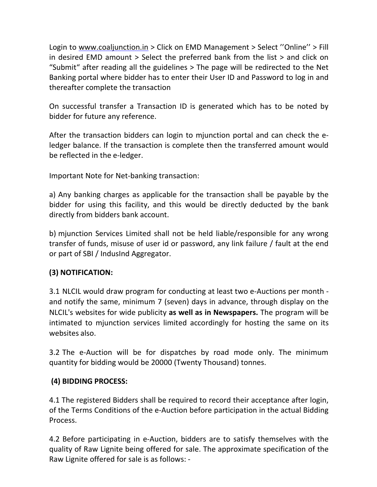Login to [www.coaljunction.in](http://www.coaljunction.in/) > Click on EMD Management > Select "Online" > Fill in desired EMD amount > Select the preferred bank from the list > and click on "Submit" after reading all the guidelines > The page will be redirected to the Net Banking portal where bidder has to enter their User ID and Password to log in and thereafter complete the transaction

On successful transfer a Transaction ID is generated which has to be noted by bidder for future any reference.

After the transaction bidders can login to mjunction portal and can check the eledger balance. If the transaction is complete then the transferred amount would be reflected in the e-ledger.

Important Note for Net-banking transaction:

a) Any banking charges as applicable for the transaction shall be payable by the bidder for using this facility, and this would be directly deducted by the bank directly from bidders bank account.

b) mjunction Services Limited shall not be held liable/responsible for any wrong transfer of funds, misuse of user id or password, any link failure / fault at the end or part of SBI / IndusInd Aggregator.

## **(3) NOTIFICATION:**

3.1 NLCIL would draw program for conductingat least two e-Auctions per month and notify the same, minimum 7 (seven) days in advance, through display on the NLCIL's websites for wide publicity **as well as in Newspapers.** The program will be intimated to mjunction services limited accordingly for hosting the same on its websites also.

3.2 The e-Auction will be for dispatches by road mode only. The minimum quantity for bidding would be 20000 (Twenty Thousand) tonnes.

#### **(4) BIDDING PROCESS:**

4.1 The registered Bidders shall be required to record their acceptance after login,<br>of the Terms Conditions of the e-Auction before participation in the actual Bidding Process.

4.2 Before participating in e-Auction, bidders are to satisfy themselves with the quality of Raw Lignite being offered for sale. The approximate specification of the Raw Lignite offered for sale is as follows: -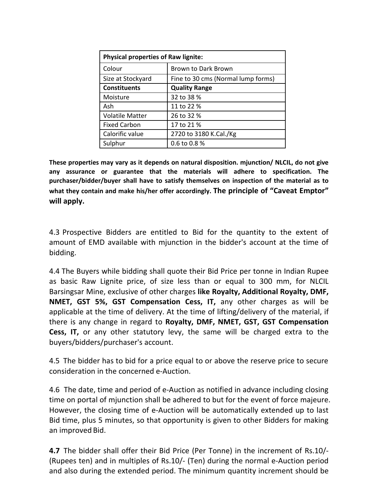| <b>Physical properties of Raw lignite:</b> |                                    |  |
|--------------------------------------------|------------------------------------|--|
| Colour                                     | <b>Brown to Dark Brown</b>         |  |
| Size at Stockyard                          | Fine to 30 cms (Normal lump forms) |  |
| <b>Constituents</b>                        | <b>Quality Range</b>               |  |
| Moisture                                   | 32 to 38 %                         |  |
| Ash                                        | 11 to 22 %                         |  |
| <b>Volatile Matter</b>                     | 26 to 32 %                         |  |
| <b>Fixed Carbon</b>                        | 17 to 21 %                         |  |
| Calorific value                            | 2720 to 3180 K.Cal./Kg             |  |
| Sulphur                                    | 0.6 to 0.8 %                       |  |

**These properties may vary as it depends on natural disposition. mjunction/ NLCIL, do not give any assurance or guarantee that the materials will adhere to specification. The purchaser/bidder/buyer shall have to satisfy themselves on inspection of the material as to what they contain and make his/her offer accordingly. The principle of "Caveat Emptor" will apply.**

4.3 Prospective Bidders are entitled to Bid for the quantity to the extent of amount of EMD available with mjunction in the bidder's account at the time of bidding.

4.4 The Buyers while bidding shall quote their Bid Price per tonne in Indian Rupee as basic Raw Lignite price, of size lessthan or equal to 300 mm, for NLCIL Barsingsar Mine, exclusive of other charges **like Royalty, Additional Royalty, DMF, NMET, GST 5%, GST Compensation Cess, IT,** any other charges as will be applicable at the time of delivery. At the time of lifting/delivery of the material, if there is any change in regard to **Royalty, DMF, NMET, GST, GST Compensation Cess, IT,** or any other statutory levy, the same will be charged extra to the buyers/bidders/purchaser's account.

4.5 The bidder has to bid for a price equal to or above the reserve price to secure consideration in the concerned e-Auction.

4.6 The date, time and period of e-Auction as notified in advance including closing time on portal of mjunction shall be adhered to but for the event of force majeure. However, the closing time of e-Auction will be automatically extended up to last Bid time, plus 5 minutes, so that opportunity is given to other Bidders for making an improved Bid.

**4.7** The bidder shall offer their Bid Price (Per Tonne) in the increment of Rs.10/- (Rupees ten) and in multiples of Rs.10/- (Ten) during the normal e-Auction period and also during the extended period. The minimum quantity increment should be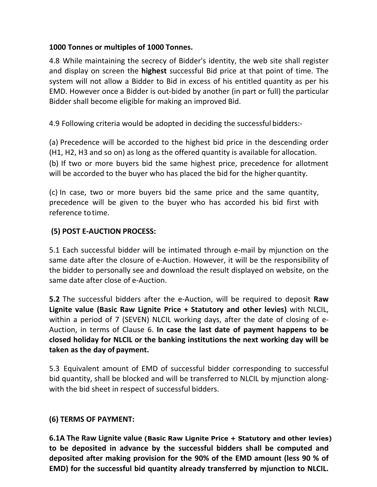## **1000 Tonnes or multiples of 1000 Tonnes.**

4.8 While maintaining the secrecy of Bidder's identity, the web site shall register and display on screen the **highest** successful Bid price at that point of time. The system will not allow a Bidder to Bid in excess of his entitled quantity as per his EMD. However once a Bidder is out-bided by another (in part or full) the particular Bidder shall become eligible for making an improved Bid.

4.9 Following criteria would be adopted in deciding the successful bidders:-

(a) Precedence will be accorded to the highest bid price in the descending order (H1, H2, H3 and so on) as long as the offered quantity is available for allocation. (b) If two or more buyers bid the same highest price, precedence for allotment will be accorded to the buyer who has placed the bid for the higher quantity.

(c) In case, two or more buyers bid the same price and the same quantity, precedence will be given to the buyer who has accorded his bid first with reference totime.

## **(5) POST E-AUCTION PROCESS:**

5.1 Each successful bidder will be intimated through e-mail by mjunction on the same date after the closure of e-Auction. However, it will be the responsibility of the bidder to personally see and download the result displayed on website, on the same date after close of e-Auction.

**5.2** The successful bidders after the e-Auction, will be required to deposit **Raw Lignite value (Basic Raw Lignite Price + Statutory and other levies)** with NLCIL, within a period of 7 (SEVEN) NLCIL working days, after the date of closing of e- Auction, in terms of Clause 6. **In case the last date of payment happens to be closed holiday for NLCIL or the banking institutions the next working day will be taken as the day of payment.**

5.3 Equivalent amount of EMD of successful bidder corresponding to successful bid quantity, shall be blocked and will be transferred to NLCIL by mjunction along with the bid sheet in respect of successful bidders.

## **(6) TERMS OF PAYMENT:**

**6.1A The Raw Lignite value (Basic Raw Lignite Price + Statutory and other levies) to be deposited in advance by the successful bidders shall be computed and deposited after making provision for the 90% of the EMD amount (less 90 % of EMD) for the successful bid quantity already transferred by mjunction to NLCIL.**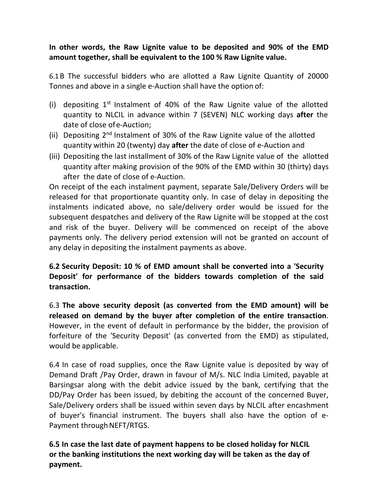**In other words, the Raw Lignite value to be deposited and 90% of the EMD amount together, shall be equivalent to the 100 % Raw Lignite value.**

6.1B The successful bidders who are allotted a Raw Lignite Quantity of 20000 Tonnes and above in a single e-Auction shall have the option of:

- (i) depositing  $1<sup>st</sup>$  Instalment of 40% of the Raw Lignite value of the allotted quantity to NLCIL in advance within 7 (SEVEN) NLC working days **after** the date of close ofe-Auction;
- (ii) Depositing 2<sup>nd</sup> Instalment of 30% of the Raw Lignite value of the allotted quantity within 20 (twenty) day **after** the date of close of e-Auction and
- (iii) Depositing the last installment of 30% of the Raw Lignite value of the allotted quantity after making provision of the 90% of the EMD within 30 (thirty) days after the date of close of e-Auction.

On receipt of the each instalment payment, separate Sale/Delivery Orders will be released for that proportionate quantity only. In case of delay in depositing the instalments indicated above, no sale/delivery order would be issued for the subsequent despatches and delivery of the Raw Lignite will be stopped at the cost and risk of the buyer. Delivery will be commenced on receipt of the above payments only. The delivery period extension will not be granted on account of any delay in depositing the instalment payments as above.

**6.2 Security Deposit: 10 % of EMD amount shall be converted into a'Security Deposit' for performance of the bidders towards completion of the said transaction.**

6.3 **The above security deposit (as converted from the EMD amount) will be released on demand by the buyerafter completion of the entire transaction**. However, in the event of default in performance by the bidder, the provision of forfeiture of the 'Security Deposit' (as converted from the EMD) as stipulated, would be applicable.

6.4 In case of road supplies, once the Raw Lignite value is deposited byway of Demand Draft /Pay Order, drawn in favour of M/s. NLC India Limited, payable at Barsingsar along with the debit advice issued by the bank, certifying that the DD/Pay Order has been issued, by debiting the account of the concerned Buyer, Sale/Delivery orders shall be issued within seven days by NLCIL after encashment of buyer's financial instrument. The buyers shall also have the option of e- Payment through NEFT/RTGS.

**6.5 In case the last date of payment happens to be closed holiday for NLCIL or the banking institutions the next working day will be taken as the day of payment.**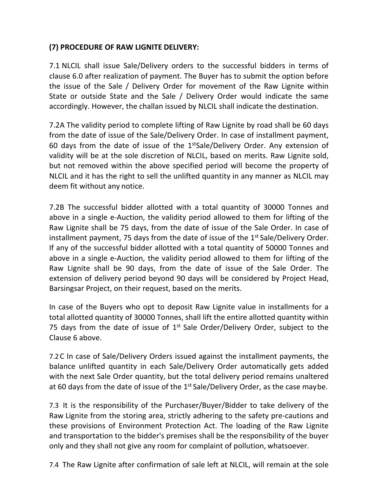# **(7) PROCEDURE OF RAW LIGNITE DELIVERY:**

7.1 NLCIL shall issue Sale/Delivery orders to the successful bidders in terms of clause 6.0 after realization of payment.The Buyer has to submit the option before the issue of the Sale / Delivery Order for movement of the Raw Lignite within State or outside State and the Sale / Delivery Order would indicate the same accordingly. However, the challan issued by NLCIL shall indicate the destination.

7.2A The validity period to complete lifting of Raw Lignite by road shall be 60 days from the date of issue of the Sale/Delivery Order. In case of installment payment, 60 days from the date of issue of the 1<sup>st</sup>Sale/Delivery Order. Any extension of validity will be at the sole discretion of NLCIL, based on merits. Raw Lignite sold, but not removed within the above specified period will become the property of NLCIL and it has the right to sell the unlifted quantity in any manner as NLCIL may deem fit without any notice.

7.2B The successful bidder allotted with a total quantity of 30000 Tonnes and above in a single e-Auction, the validity period allowed to them for lifting of the Raw Lignite shall be 75 days, from the date of issue of the Sale Order. In case of installment payment, 75 days from the date of issue of the 1<sup>st</sup> Sale/Delivery Order. If any of the successful bidder allotted with a total quantity of 50000 Tonnes and above in a single e-Auction, the validity period allowed to them for lifting of the Raw Lignite shall be 90 days, from the date ofissue of the Sale Order. The extension of delivery period beyond 90 days will be considered by Project Head, Barsingsar Project, on their request, based on the merits.

In case of the Buyers who opt to deposit Raw Lignite value in installments for a total allotted quantity of 30000 Tonnes, shall lift the entire allotted quantity within 75 days from the date of issue of 1<sup>st</sup> Sale Order/Delivery Order, subject to the Clause 6 above.

7.2C In case of Sale/Delivery Orders issued against the installment payments, the balance unlifted quantity in each Sale/Delivery Order automatically gets added with the next Sale Order quantity, but the total delivery period remains unaltered at 60 days from the date of issue of the 1<sup>st</sup> Sale/Delivery Order, as the case maybe.

7.3 It is the responsibility of the Purchaser/Buyer/Bidder to take delivery of the Raw Lignite from the storing area, strictly adhering to the safety pre-cautions and these provisions of Environment Protection Act. The loading of the Raw Lignite and transportation to the bidder's premises shall be the responsibility of the buyer only and they shall not give any room for complaint of pollution, whatsoever.

7.4 The Raw Lignite after confirmation of sale left at NLCIL, will remain at the sole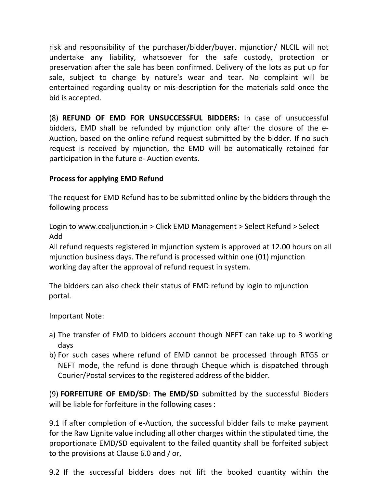risk and responsibility of the purchaser/bidder/buyer. mjunction/ NLCIL will not undertake any liability, whatsoever for the safe custody, protection or preservation after the sale has been confirmed. Delivery of the lots as put up for sale, subject to change by nature's wear and tear. No complaint will be entertained regarding quality or mis-description for the materials sold once the bid is accepted.

(8) **REFUND OF EMD FOR UNSUCCESSFUL BIDDERS:** In case of unsuccessful bidders, EMD shall be refunded by mjunction only after the closure of the e-Auction, based on the online refund request submitted by the bidder. If no such request is received by mjunction, the EMD will be automatically retained for participation in the future e- Auction events.

## **Process for applying EMD Refund**

The request for EMD Refund has to be submitted online by the bidders through the following process

Login to [www.coaljunction.in](http://www.coaljunction.in/) > Click EMD Management > Select Refund > Select Add

All refund requests registered in mjunction system is approved at 12.00 hours on all mjunction business days. The refund is processed within one (01) mjunction working day after the approval of refund request in system.

The bidders can also check their status of EMD refund by login to mjunction portal.

Important Note:

- a) The transfer of EMD to bidders account though NEFT can take up to 3 working days
- b) For such cases where refund of EMD cannot be processed through RTGS or NEFT mode, the refund is done through Cheque which is dispatched through Courier/Postal services to the registered address of the bidder.

(9) **FORFEITURE OF EMD/SD**: **The EMD/SD** submitted by the successful Bidders will be liable for forfeiture in the following cases:

9.1 If after completion of e-Auction, the successful bidder fails to make payment for the Raw Lignite value including all other charges within the stipulated time, the proportionate EMD/SD equivalent to the failed quantity shall be forfeited subject to the provisions at Clause 6.0 and / or,

9.2 If the successful bidders does not lift the booked quantity within the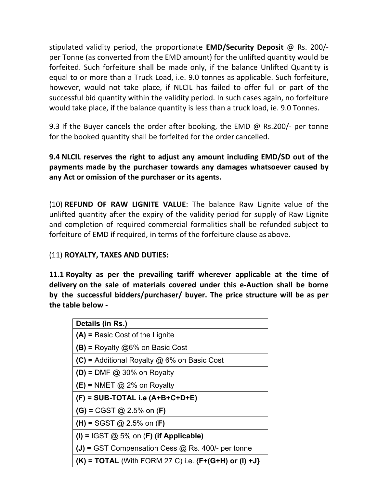stipulated validity period, the proportionate **EMD/Security Deposit** @ Rs. 200/ per Tonne (as converted from the EMD amount) forthe unlifted quantity would be forfeited. Such forfeiture shall be made only, if the balance Unlifted Quantity is equal to or more than a Truck Load, i.e. 9.0 tonnes as applicable. Such forfeiture, however, would not take place, if NLCIL has failed to offer full or part of the successful bid quantity within the validity period. In such cases again, no forfeiture would take place, if the balance quantity is less than a truck load, ie. 9.0 Tonnes.

9.3 If the Buyer cancels the order after booking, the EMD @ Rs.200/- per tonne for the booked quantity shall be forfeited for the order cancelled.

**9.4 NLCIL reserves the right to adjust any amount including EMD/SD out of the payments made by the purchaser towards any damages whatsoever caused by any Act or omission of the purchaser or its agents.**

(10) **REFUND OF RAW LIGNITE VALUE**: The balance Raw Lignite value of the unlifted quantity after the expiry of the validity period for supply of Raw Lignite and completion of required commercial formalities shall be refunded subject to forfeiture of EMD if required, in terms of the forfeiture clause as above.

#### (11) **ROYALTY, TAXES AND DUTIES:**

**11.1 Royalty asper the prevailing tariff wherever applicable at the time of delivery on the sale of materials covered under this e-Auction shall be borne by the successful bidders/purchaser/ buyer.The price structure will be as per the table below -**

| Details (in Rs.)                                           |  |
|------------------------------------------------------------|--|
| $(A)$ = Basic Cost of the Lignite                          |  |
| $(B)$ = Royalty @6% on Basic Cost                          |  |
| $(C)$ = Additional Royalty @ 6% on Basic Cost              |  |
| $(D)$ = DMF @ 30% on Royalty                               |  |
| $(E)$ = NMET $@$ 2% on Royalty                             |  |
| $(F)$ = SUB-TOTAL i.e (A+B+C+D+E)                          |  |
| $(G) = CGST$ @ 2.5% on $(F)$                               |  |
| $(H) = SGST @ 2.5% on (F)$                                 |  |
| (I) = IGST $@$ 5% on (F) (if Applicable)                   |  |
| $(J)$ = GST Compensation Cess $@$ Rs. 400/- per tonne      |  |
| $(K)$ = TOTAL (With FORM 27 C) i.e. ${F+(G+H)}$ or (I) +J} |  |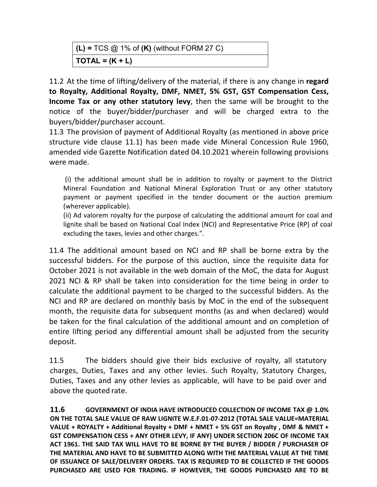| $(L)$ = TCS $@$ 1% of $(K)$ (without FORM 27 C) |  |
|-------------------------------------------------|--|
| $\mathsf{TOTAL} = (\mathsf{K} + \mathsf{L})$    |  |

11.2 At the time of lifting/delivery of the material, if there is any change in **regard to Royalty, Additional Royalty, DMF, NMET, 5% GST, GST Compensation Cess, Income Tax or any other statutory levy**, then the same will be brought to the notice of the buyer/bidder/purchaser and will be charged extra to the buyers/bidder/purchaser account.

11.3 The provision of payment of Additional Royalty (as mentioned in above price structure vide clause 11.1) has been made vide Mineral Concession Rule 1960, amended vide Gazette Notification dated 04.10.2021 wherein following provisions were made.

(i) the additional amount shall be in addition to royalty or payment to the District Mineral Foundation and National Mineral Exploration Trust or any other statutory payment or payment specified in the tender document or the auction premium (wherever applicable).

(ii) Ad valorem royalty for the purpose of calculating the additional amount for coal and lignite shall be based on National Coal Index (NCI) and Representative Price (RP) of coal excluding the taxes, levies and other charges.".

11.4 The additional amount based on NCI and RP shall be borne extra by the successful bidders. For the purpose of this auction, since the requisite data for October 2021 is not available in the web domain of the MoC, the data for August 2021 NCI & RP shall be taken into consideration for the time being in order to calculate the additional payment to be charged to the successful bidders. As the NCI and RP are declared on monthly basis by MoC in the end of the subsequent month, the requisite data for subsequent months (as and when declared) would be taken for the final calculation of the additional amount and on completion of entire lifting period any differential amount shall be adjusted from the security deposit.

11.5 The bidders should give their bids exclusive of royalty, all statutory charges, Duties, Taxes and any other levies. Such Royalty, Statutory Charges, Duties, Taxes and any other levies as applicable, will have to be paid over and above the quoted rate.

**11.6 GOVERNMENT OF INDIA HAVE INTRODUCED COLLECTION OF INCOME TAX @ 1.0% ON THE TOTAL SALE VALUE OF RAW LIGNITE W.E.F.01-07-2012 (TOTAL SALE VALUE=MATERIAL VALUE + ROYALTY + Additional Royalty + DMF + NMET + 5% GST on Royalty , DMF & NMET + GST COMPENSATION CESS +ANY OTHER LEVY, IF ANY) UNDER SECTION 206C OF INCOME TAX ACT 1961. THE SAID TAX WILL HAVE TO BE BORNE BY THE BUYER / BIDDER / PURCHASER OF THE MATERIAL AND HAVE TO BE SUBMITTED ALONG WITH THE MATERIAL VALUE AT THE TIME OF ISSUANCE OF SALE/DELIVERY ORDERS. TAX IS REQUIRED TO BE COLLECTED IF THE GOODS PURCHASED ARE USED FOR TRADING. IF HOWEVER, THE GOODS PURCHASED ARE TO BE**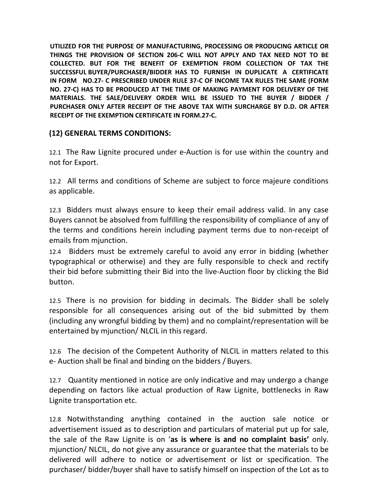**UTILIZED FOR THE PURPOSE OF MANUFACTURING, PROCESSING OR PRODUCING ARTICLE OR THINGS THE PROVISION OF SECTION 206-C WILL NOT APPLY AND TAX NEED NOT TO BE COLLECTED. BUT FOR THE BENEFIT OF EXEMPTION FROM COLLECTION OF TAX THE SUCCESSFUL BUYER/PURCHASER/BIDDER HAS TO FURNISH IN DUPLICATE A CERTIFICATE IN FORM NO.27- C PRESCRIBED UNDER RULE 37-C OF INCOME TAX RULES THE SAME (FORM NO. 27-C) HAS TO BE PRODUCED AT THE TIME OF MAKING PAYMENT FOR DELIVERY OF THE MATERIALS. THE SALE/DELIVERY ORDER WILLBE ISSUED TO THE BUYER / BIDDER / PURCHASER ONLY AFTER RECEIPT OF THE ABOVE TAX WITH SURCHARGE BY D.D. OR AFTER RECEIPT OF THE EXEMPTION CERTIFICATE IN FORM.27-C.**

#### **(12) GENERAL TERMS CONDITIONS:**

12.1 The Raw Lignite procured under e-Auction is for use within the country and not for Export.

12.2 All terms and conditions of Scheme are subject to force majeure conditions as applicable.

12.3 Bidders must always ensure to keep their email address valid. In any case Buyers cannot be absolved from fulfilling the responsibility of compliance of any of the terms and conditions herein including payment terms due to non-receipt of emails from mjunction.

12.4 Bidders must be extremely careful to avoid any error in bidding (whether typographical or otherwise) and they are fully responsible to check and rectify their bid before submitting their Bid into the live-Auction floor by clicking the Bid button.

12.5 There is no provision for bidding in decimals. The Bidder shall be solely responsible for all consequences arising out of the bid submitted by them (including any wrongful bidding by them) and no complaint/representation will be entertained by mjunction/ NLCIL in this regard.

12.6 The decision of the Competent Authority of NLCIL in matters related to this e- Auction shall be final and binding on the bidders / Buyers.

12.7 Quantity mentioned in notice are only indicative and may undergo a change depending on factors like actual production of Raw Lignite, bottlenecks in Raw Lignite transportation etc.

12.8 Notwithstanding anything contained in the auction sale notice or advertisement issued as to description and particulars of material put up for sale, the sale of the Raw Lignite is on '**as is where is and no complaint basis'** only. mjunction/ NLCIL, do not give any assurance or guarantee that the materials to be delivered will adhere to notice or advertisement or list or specification. The purchaser/ bidder/buyer shall have to satisfy himself on inspection of the Lot as to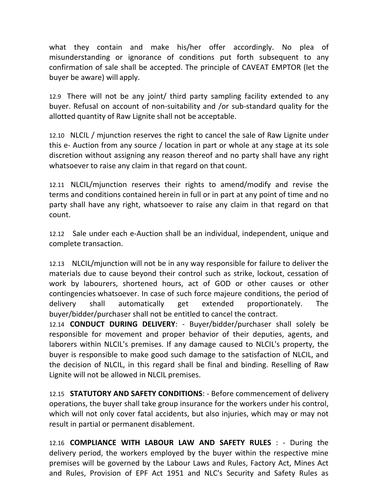what they contain and make his/her offer accordingly. No plea of misunderstanding or ignorance of conditions put forth subsequent to any confirmation of sale shall be accepted. The principle of CAVEAT EMPTOR (let the buyer be aware) will apply.

12.9 There will not be any joint/ third party sampling facility extended to any buyer. Refusal on account of non-suitability and /or sub-standard quality for the allotted quantity of Raw Lignite shall not be acceptable.

12.10 NLCIL /mjunction reserves the right to cancel the sale of Raw Lignite under this e- Auction from any source / location in part or whole at any stage at its sole discretion without assigning any reason thereof and no party shall have any right whatsoever to raise any claim in that regard on that count.

12.11 NLCIL/mjunction reserves their rights to amend/modify and revise the terms and conditions contained herein in full or in part at any point of time and no party shall have any right, whatsoever to raise any claim in that regard on that count.

12.12 Sale under each e-Auction shall be an individual, independent, unique and complete transaction.

12.13 NLCIL/mjunction will not be in any way responsible for failure to deliver the materials due to cause beyond their control such as strike, lockout, cessation of work by labourers, shortened hours, act of GOD or other causes or other contingencies whatsoever. In case of such force majeure conditions, the period of delivery shall automatically get extended proportionately. The buyer/bidder/purchaser shall not be entitled to cancel the contract.

12.14 **CONDUCT DURING DELIVERY**: - Buyer/bidder/purchaser shall solely be responsible for movement and proper behavior of their deputies, agents, and laborers within NLCIL's premises. If any damage caused to NLCIL's property, the buyer is responsible to make good such damage to the satisfaction of NLCIL, and the decision of NLCIL, in this regard shall be final and binding. Reselling of Raw Lignite will not be allowed in NLCIL premises.

12.15 **STATUTORY AND SAFETY CONDITIONS**: - Before commencement of delivery operations, the buyer shall take group insurance for the workers under his control, which will not only cover fatal accidents, but also injuries, which may or may not result in partial or permanent disablement.

12.16 **COMPLIANCE WITH LABOUR LAW AND SAFETY RULES** : - During the delivery period, the workers employed by the buyer within the respective mine premises will be governed by the Labour Laws and Rules, Factory Act, Mines Act and Rules, Provision of EPF Act 1951 and NLC's Security and Safety Rules as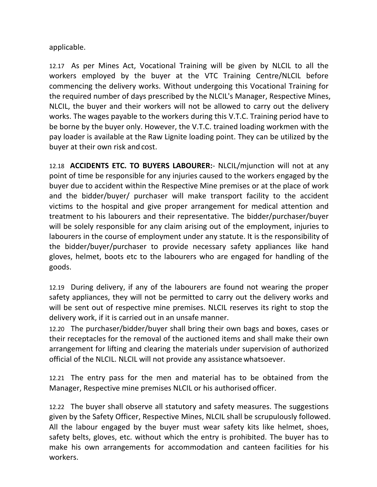applicable.

12.17 As per Mines Act, Vocational Training will be given by NLCIL to all the workers employed by the buyer at the VTC Training Centre/NLCIL before commencing the delivery works. Without undergoing this Vocational Training for the required number of days prescribed by the NLCIL's Manager, Respective Mines, NLCIL, the buyer and their workers will not be allowed to carry out the delivery works. The wages payable to the workers during this V.T.C. Training period have to be borne by the buyer only. However, the V.T.C. trained loading workmen with the pay loader is available at the Raw Lignite loading point. They can be utilized by the buyer at their own risk and cost.

12.18 **ACCIDENTS ETC. TO BUYERS LABOURER:**- NLCIL/mjunction will not at any point of time be responsible for any injuries caused to the workers engaged by the buyer due to accident within the Respective Mine premises or at the place of work and the bidder/buyer/ purchaser will make transport facility to the accident victims to the hospital and give proper arrangement for medical attention and treatment to his labourers and their representative. The bidder/purchaser/buyer will be solely responsible for any claim arising out of the employment, injuries to labourers in the course of employment under any statute. It is the responsibility of the bidder/buyer/purchaser to provide necessary safety appliances like hand gloves, helmet, boots etc to the labourers who are engaged for handling of the goods.

12.19 During delivery, if any of the labourers are found not wearing the proper safety appliances, they will not be permitted to carry out the delivery works and will be sent out of respective mine premises. NLCIL reserves its right to stop the delivery work, if it is carried out in an unsafe manner.

12.20 The purchaser/bidder/buyer shall bring their own bags and boxes, cases or their receptacles for the removal of the auctioned items and shall make their own arrangement for lifting and clearing the materials under supervision of authorized official of the NLCIL. NLCIL will not provide any assistance whatsoever.

12.21 The entry pass for the men and material has to be obtained from the Manager, Respective mine premises NLCIL or his authorised officer.

12.22 The buyer shall observe all statutory and safety measures. The suggestions given by the Safety Officer, Respective Mines, NLCIL shall be scrupulously followed. All the labour engaged by the buyer must wear safety kits like helmet, shoes, safety belts, gloves, etc. without which the entry is prohibited. The buyer has to make his own arrangements for accommodation and canteen facilities for his workers.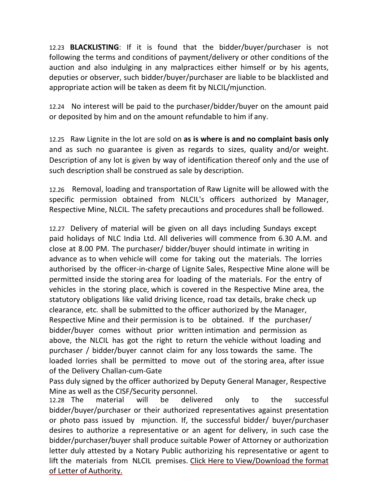12.23 **BLACKLISTING**: If it is found that the bidder/buyer/purchaser is not following the terms and conditions of payment/delivery or other conditions of the auction and also indulging in any malpractices either himself or by his agents, deputies or observer, such bidder/buyer/purchaser are liable to be blacklisted and appropriate action will be taken as deem fit by NLCIL/mjunction.

12.24 No interest will be paid to the purchaser/bidder/buyer on the amount paid or deposited by him and on the amount refundable to him ifany.

12.25 Raw Lignite in the lot are sold on **asis where is and no complaint basis only** and as such no guarantee is given as regards to sizes, quality and/or weight. Description of any lot is given by way of identification thereof only and the use of such description shall be construed as sale by description.

12.26 Removal, loading and transportation of Raw Lignite will be allowed with the specific permission obtained from NLCIL's officers authorized by Manager, Respective Mine, NLCIL. The safety precautions and procedures shall be followed.

12.27 Delivery of material will be given on all days including Sundays except paid holidays of NLC India Ltd. All deliveries will commence from 6.30 A.M. and close at 8.00 PM. The purchaser/ bidder/buyer should intimate in writing in advance as to when vehicle will come for taking out the materials. The lorries authorised by the officer-in-charge of Lignite Sales, Respective Mine alone will be permitted inside the storing area for loading of the materials. For the entry of vehicles in the storing place, which is covered in the Respective Mine area, the statutory obligations like valid driving licence, road tax details, brake check up clearance, etc. shall be submitted to the officer authorized by the Manager, Respective Mine and their permission is to be obtained. If the purchaser/ bidder/buyer comes without prior written intimation and permission as above, the NLCIL has got the right to return the vehicle without loading and purchaser / bidder/buyer cannot claim for any loss towards the same. The loaded lorries shall be permitted to move out of the storing area, after issue of the Delivery Challan-cum-Gate

Pass duly signed by the officer authorized by Deputy General Manager, Respective Mine as well as the CISF/Security personnel.

12.28 The material will be delivered only to the successful bidder/buyer/purchaser or their authorized representatives against presentation or photo pass issued by mjunction. If, the successful bidder/ buyer/purchaser desires to authorize a representative or an agent for delivery, in such case the bidder/purchaser/buyer shall produce suitable Power of Attorney or authorization letter duly attested by a Notary Public authorizing his representative or agent to lift the materials from NLCIL premises. Click Here to [View/Download](http://www.coaljunction.in/appuploads/file/coaljunction/downloads/Final_-_LETTER_OF_AUTHORITY_RL.pdf) the format of Letter of Authority.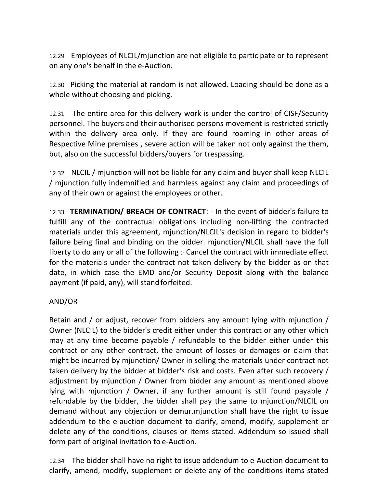12.29 Employees of NLCIL/mjunction are not eligible to participate or to represent on any one's behalf in the e-Auction.

12.30 Picking the material at random is not allowed. Loading should be done as a whole without choosing and picking.

12.31 The entire area for this delivery work is under the control of CISF/Security personnel. The buyers and their authorised persons movement is restricted strictly within the delivery area only. If they are found roaming in other areas of Respective Mine premises , severe action will be taken not only against the them, but, also on the successful bidders/buyers for trespassing.

12.32 NLCIL / mjunction will not be liable for any claim and buyer shall keep NLCIL / mjunction fully indemnified and harmless against any claim and proceedings of any of their own or against the employees or other.

12.33 **TERMINATION/ BREACH OF CONTRACT**: - In the event of bidder's failure to fulfill any of the contractual obligations including non-lifting the contracted materials under this agreement, mjunction/NLCIL's decision in regard to bidder's failure being final and binding on the bidder. mjunction/NLCIL shall have the full liberty to do any or all of the following  $\cdot$ -Cancel the contract with immediate effect for the materials under the contract not taken delivery by the bidder as on that date, in which case the EMD and/or Security Deposit along with the balance payment (if paid, any), will standforfeited.

#### AND/OR

Retain and / or adjust, recover from bidders any amount lying with mjunction / Owner (NLCIL) to the bidder's credit either under this contract or any other which may at any time become payable / refundable to the bidder either under this contract or any other contract, the amount of losses or damages or claim that might be incurred by mjunction/ Owner in selling the materials under contract not taken delivery by the bidder at bidder's risk and costs. Even after such recovery / adjustment by mjunction / Owner from bidder any amount as mentioned above lying with mjunction / Owner, if any further amount is still found payable / refundable by the bidder, the bidder shall pay the same to mjunction/NLCIL on demand without any objection or demur.mjunction shall have the right to issue addendum to the e-auction document to clarify, amend, modify, supplement or delete any of the conditions, clauses or items stated. Addendum so issued shall form part of original invitation to e-Auction.

12.34 The bidder shall have no right to issue addendum to e-Auction document to clarify, amend, modify, supplement or delete any of the conditions items stated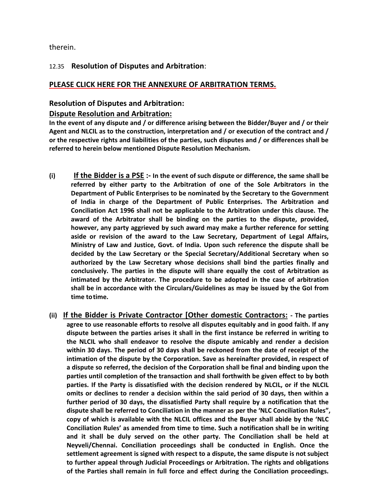#### therein.

#### 12.35 **Resolution of Disputes and Arbitration**:

#### **PLEASE CLICK HERE FOR THE ANNEXURE OF [ARBITRATION](http://www.coaljunction.in/appuploads/file/coaljunction/downloads/ARBITRATION_TERMS_-_NLCIL1.pdf) TERMS.**

#### **Resolution of Disputes and Arbitration:**

#### **Dispute Resolution and Arbitration:**

**In the event of any dispute and / or difference arising between the Bidder/Buyer and / or their Agent and NLCIL as to the construction, interpretation and / or execution of the contract and / or the respective rights and liabilities of the parties, such disputes and / or differences shall be referred to herein below mentioned Dispute Resolution Mechanism.**

- (i) If the Bidder is a PSE :- In the event of such dispute or difference, the same shall be **referred by either party to the Arbitration of one of the Sole Arbitrators in the Department of Public Enterprises to be nominated by the Secretary to the Government of India in charge of the Department of Public Enterprises. The Arbitration and Conciliation Act 1996 shall not be applicable to the Arbitration under this clause. The award of the Arbitrator shall be binding on the parties to the dispute, provided, however, any party aggrieved by such award may make a further reference for setting aside or revision of the award to the Law Secretary, Department of Legal Affairs, Ministry of Law and Justice, Govt. of India. Upon such reference the dispute shall be decided by the Law Secretary or the Special Secretary/Additional Secretary when so authorized by the Law Secretary whose decisions shall bind the parties finally and conclusively. The parties in the dispute will share equally the cost of Arbitration as intimated by the Arbitrator. The procedure to be adopted in the case of arbitration shall be in accordance with the Circulars/Guidelines as may be issued by the GoI from time totime.**
- **(ii) If the Bidder is Private Contractor [Other domestic Contractors: - The parties agree to use reasonable efforts to resolve all disputes equitably and in good faith. If any dispute between the parties arises it shall in the first instance be referred in writing to the NLCIL who shall endeavor to resolve the dispute amicably and render a decision within 30 days. The period of 30 days shall be reckoned from the date of receipt of the intimation of the dispute by the Corporation. Save as hereinafter provided, in respect of a dispute so referred, the decision of the Corporation shall be final and binding upon the parties until completion of the transaction and shall forthwith be given effect to by both parties. If the Party is dissatisfied with the decision rendered by NLCIL, or if the NLCIL omits or declines to render a decision within the said period of30 days, then within a further period of 30 days, the dissatisfied Party shall require by a notification that the dispute shall be referred to Conciliation in the manner as per the 'NLC Conciliation Rules", copy of which is available with the NLCIL offices and the Buyer shall abide by the 'NLC Conciliation Rules' as amended from time to time. Such anotification shall be in writing and it shall be duly served on the otherparty. The Conciliation shall be held at Neyveli/Chennai. Conciliation proceedings shall be conducted in English.Once the settlement agreement is signed with respect to a dispute, the same dispute is not subject to further appeal through Judicial Proceedings or Arbitration. The rights and obligations of the Parties shall remain in full force and effect during the Conciliation proceedings.**